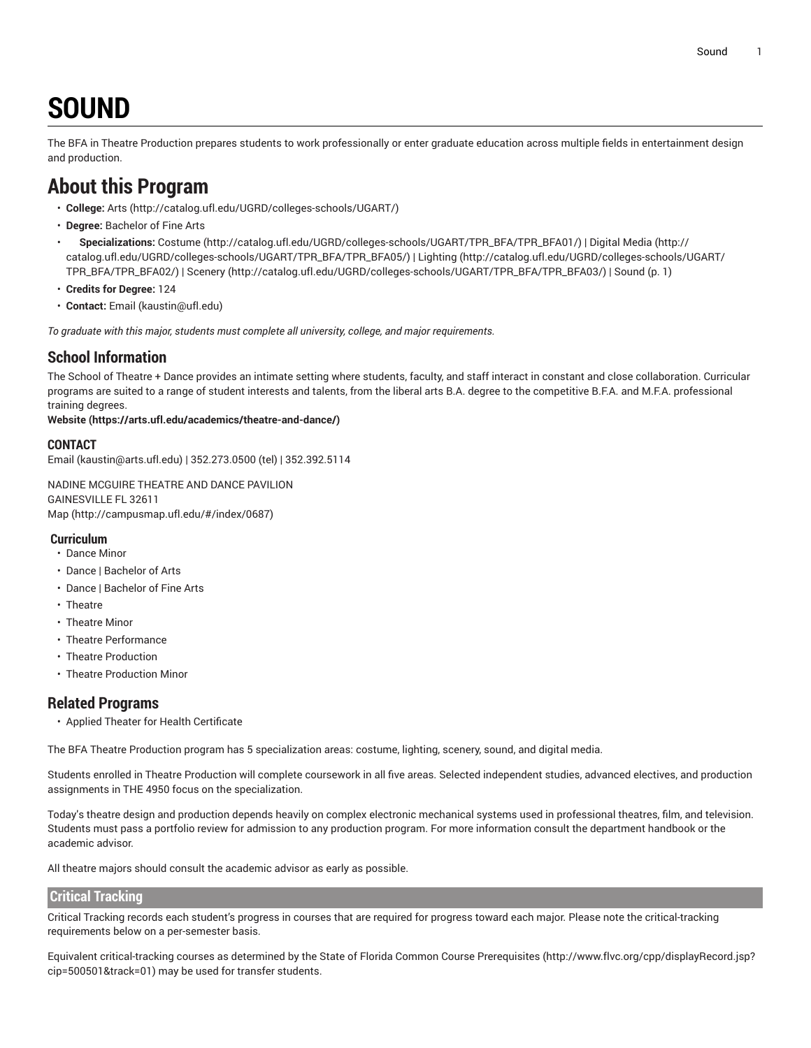# **SOUND**

<span id="page-0-0"></span>The BFA in Theatre Production prepares students to work professionally or enter graduate education across multiple fields in entertainment design and production.

# **About this Program**

- **College:** [Arts](http://catalog.ufl.edu/UGRD/colleges-schools/UGART/) ([http://catalog.ufl.edu/UGRD/colleges-schools/UGART/\)](http://catalog.ufl.edu/UGRD/colleges-schools/UGART/)
- **Degree:** Bachelor of Fine Arts
- **Specializations:** [Costume \(http://catalog.ufl.edu/UGRD/colleges-schools/UGART/TPR\\_BFA/TPR\\_BFA01/\)](http://catalog.ufl.edu/UGRD/colleges-schools/UGART/TPR_BFA/TPR_BFA01/) | [Digital Media \(http://](http://catalog.ufl.edu/UGRD/colleges-schools/UGART/TPR_BFA/TPR_BFA05/) [catalog.ufl.edu/UGRD/colleges-schools/UGART/TPR\\_BFA/TPR\\_BFA05/](http://catalog.ufl.edu/UGRD/colleges-schools/UGART/TPR_BFA/TPR_BFA05/)) | [Lighting](http://catalog.ufl.edu/UGRD/colleges-schools/UGART/TPR_BFA/TPR_BFA02/) ([http://catalog.ufl.edu/UGRD/colleges-schools/UGART/](http://catalog.ufl.edu/UGRD/colleges-schools/UGART/TPR_BFA/TPR_BFA02/) [TPR\\_BFA/TPR\\_BFA02/\)](http://catalog.ufl.edu/UGRD/colleges-schools/UGART/TPR_BFA/TPR_BFA02/) | [Scenery](http://catalog.ufl.edu/UGRD/colleges-schools/UGART/TPR_BFA/TPR_BFA03/) ([http://catalog.ufl.edu/UGRD/colleges-schools/UGART/TPR\\_BFA/TPR\\_BFA03/](http://catalog.ufl.edu/UGRD/colleges-schools/UGART/TPR_BFA/TPR_BFA03/)) | [Sound](#page-0-0) ([p. 1\)](#page-0-0)
- **Credits for Degree:** 124
- **Contact:** [Email](mailto:kaustin@ufl.edu) [\(kaustin@ufl.edu\)](kaustin@ufl.edu)

*To graduate with this major, students must complete all university, college, and major requirements.*

#### **School Information**

The School of Theatre + Dance provides an intimate setting where students, faculty, and staff interact in constant and close collaboration. Curricular programs are suited to a range of student interests and talents, from the liberal arts B.A. degree to the competitive B.F.A. and M.F.A. professional training degrees.

#### **[Website](https://arts.ufl.edu/academics/theatre-and-dance/) (<https://arts.ufl.edu/academics/theatre-and-dance/>)**

#### **CONTACT**

[Email](mailto:kaustin@arts.ufl.edu) (<kaustin@arts.ufl.edu>) | 352.273.0500 (tel) | 352.392.5114

NADINE MCGUIRE THEATRE AND DANCE PAVILION GAINESVILLE FL 32611 [Map](http://campusmap.ufl.edu/#/index/0687) ([http://campusmap.ufl.edu/#/index/0687\)](http://campusmap.ufl.edu/#/index/0687)

#### **Curriculum**

- Dance Minor
- Dance | Bachelor of Arts
- Dance | Bachelor of Fine Arts
- Theatre
- Theatre Minor
- Theatre Performance
- Theatre Production
- Theatre Production Minor

#### **Related Programs**

• Applied Theater for Health Certificate

The BFA Theatre Production program has 5 specialization areas: costume, lighting, scenery, sound, and digital media.

Students enrolled in Theatre Production will complete coursework in all five areas. Selected independent studies, advanced electives, and production assignments in THE 4950 focus on the specialization.

Today's theatre design and production depends heavily on complex electronic mechanical systems used in professional theatres, film, and television. Students must pass a portfolio review for admission to any production program. For more information consult the department handbook or the academic advisor.

All theatre majors should consult the academic advisor as early as possible.

#### **Critical Tracking**

Critical Tracking records each student's progress in courses that are required for progress toward each major. Please note the critical-tracking requirements below on a per-semester basis.

Equivalent critical-tracking courses as determined by the State of Florida Common Course [Prerequisites](http://www.flvc.org/cpp/displayRecord.jsp?cip=500501&track=01) ([http://www.flvc.org/cpp/displayRecord.jsp?](http://www.flvc.org/cpp/displayRecord.jsp?cip=500501&track=01) [cip=500501&track=01\)](http://www.flvc.org/cpp/displayRecord.jsp?cip=500501&track=01) may be used for transfer students.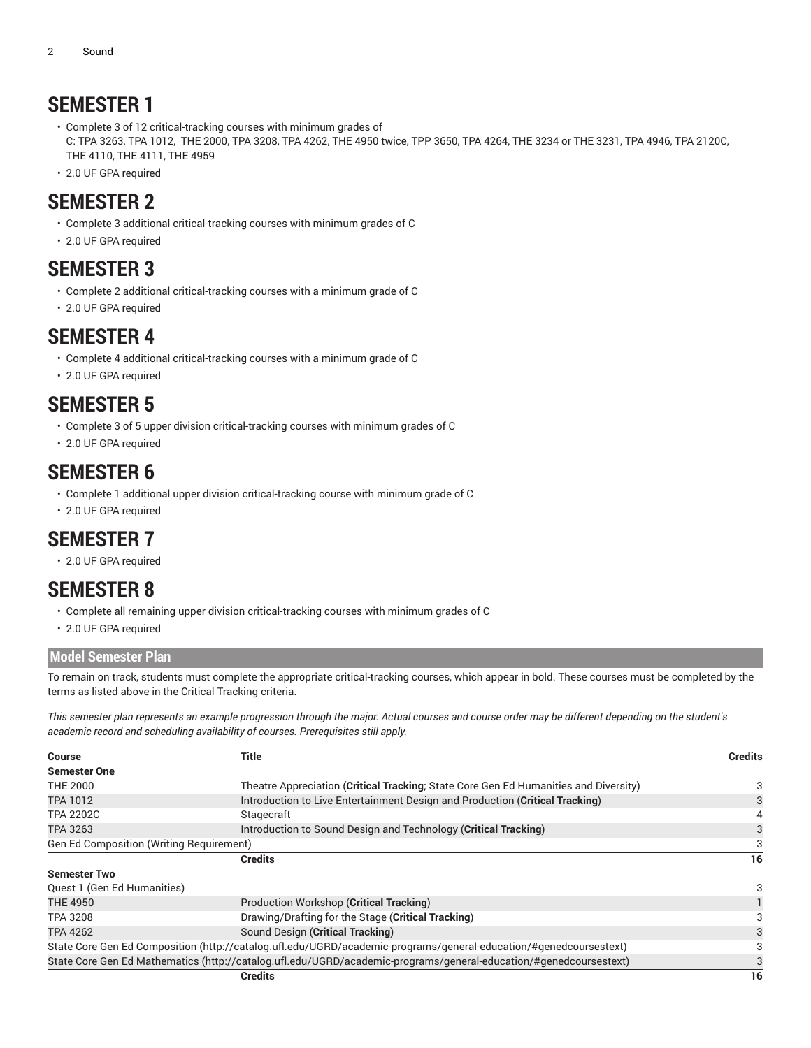# **SEMESTER 1**

- Complete 3 of 12 critical-tracking courses with minimum grades of C: TPA 3263, TPA 1012, THE 2000, TPA 3208, TPA 4262, THE 4950 twice, TPP 3650, TPA 4264, THE 3234 or THE 3231, TPA 4946, TPA 2120C, THE 4110, THE 4111, THE 4959
- 2.0 UF GPA required

## **SEMESTER 2**

- Complete 3 additional critical-tracking courses with minimum grades of C
- 2.0 UF GPA required

## **SEMESTER 3**

- Complete 2 additional critical-tracking courses with a minimum grade of C
- 2.0 UF GPA required

### **SEMESTER 4**

- Complete 4 additional critical-tracking courses with a minimum grade of C
- 2.0 UF GPA required

## **SEMESTER 5**

- Complete 3 of 5 upper division critical-tracking courses with minimum grades of C
- 2.0 UF GPA required

### **SEMESTER 6**

- Complete 1 additional upper division critical-tracking course with minimum grade of C
- 2.0 UF GPA required

# **SEMESTER 7**

• 2.0 UF GPA required

# **SEMESTER 8**

- Complete all remaining upper division critical-tracking courses with minimum grades of C
- 2.0 UF GPA required

#### **Model Semester Plan**

To remain on track, students must complete the appropriate critical-tracking courses, which appear in bold. These courses must be completed by the terms as listed above in the Critical Tracking criteria.

This semester plan represents an example progression through the major. Actual courses and course order may be different depending on the student's *academic record and scheduling availability of courses. Prerequisites still apply.*

| Course                                                                                                            | Title                                                                                                             |    |  |  |
|-------------------------------------------------------------------------------------------------------------------|-------------------------------------------------------------------------------------------------------------------|----|--|--|
| <b>Semester One</b>                                                                                               |                                                                                                                   |    |  |  |
| <b>THE 2000</b>                                                                                                   | Theatre Appreciation (Critical Tracking; State Core Gen Ed Humanities and Diversity)                              |    |  |  |
| <b>TPA 1012</b>                                                                                                   | Introduction to Live Entertainment Design and Production (Critical Tracking)                                      |    |  |  |
| <b>TPA 2202C</b>                                                                                                  | Stagecraft                                                                                                        | 4  |  |  |
| <b>TPA 3263</b>                                                                                                   | Introduction to Sound Design and Technology (Critical Tracking)                                                   | 3  |  |  |
| Gen Ed Composition (Writing Requirement)                                                                          |                                                                                                                   |    |  |  |
|                                                                                                                   | <b>Credits</b>                                                                                                    | 16 |  |  |
| <b>Semester Two</b>                                                                                               |                                                                                                                   |    |  |  |
| Quest 1 (Gen Ed Humanities)                                                                                       |                                                                                                                   | 3  |  |  |
| <b>THE 4950</b>                                                                                                   | Production Workshop (Critical Tracking)                                                                           |    |  |  |
| <b>TPA 3208</b>                                                                                                   | Drawing/Drafting for the Stage (Critical Tracking)                                                                | 3  |  |  |
| <b>TPA 4262</b>                                                                                                   | Sound Design (Critical Tracking)                                                                                  |    |  |  |
| State Core Gen Ed Composition (http://catalog.ufl.edu/UGRD/academic-programs/general-education/#genedcoursestext) |                                                                                                                   |    |  |  |
|                                                                                                                   | State Core Gen Ed Mathematics (http://catalog.ufl.edu/UGRD/academic-programs/general-education/#genedcoursestext) |    |  |  |
|                                                                                                                   | <b>Credits</b>                                                                                                    | 16 |  |  |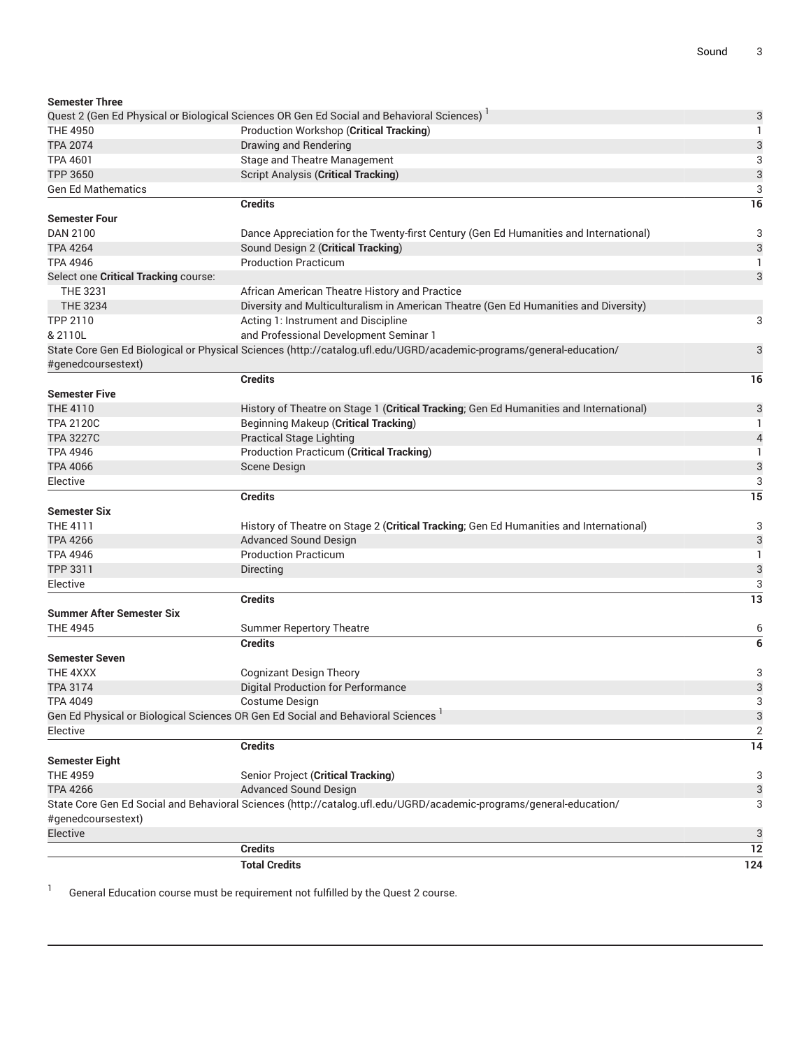|                                      | <b>Total Credits</b>                                                                                                | 124            |
|--------------------------------------|---------------------------------------------------------------------------------------------------------------------|----------------|
|                                      | <b>Credits</b>                                                                                                      | 12             |
| Elective                             |                                                                                                                     | 3              |
| #genedcoursestext)                   |                                                                                                                     |                |
|                                      | State Core Gen Ed Social and Behavioral Sciences (http://catalog.ufl.edu/UGRD/academic-programs/general-education/  | 3              |
| <b>TPA 4266</b>                      | Advanced Sound Design                                                                                               | 3              |
| <b>THE 4959</b>                      | Senior Project (Critical Tracking)                                                                                  | 3              |
| <b>Semester Eight</b>                |                                                                                                                     |                |
|                                      | <b>Credits</b>                                                                                                      | 14             |
| Elective                             |                                                                                                                     | $\overline{c}$ |
|                                      | Gen Ed Physical or Biological Sciences OR Gen Ed Social and Behavioral Sciences <sup>1</sup>                        | 3              |
| <b>TPA 4049</b>                      | Costume Design                                                                                                      | 3              |
| <b>TPA 3174</b>                      | Digital Production for Performance                                                                                  | 3              |
| THE 4XXX                             | <b>Cognizant Design Theory</b>                                                                                      | 3              |
| <b>Semester Seven</b>                |                                                                                                                     |                |
|                                      | <b>Credits</b>                                                                                                      | 6              |
| <b>THE 4945</b>                      | <b>Summer Repertory Theatre</b>                                                                                     | 6              |
| <b>Summer After Semester Six</b>     |                                                                                                                     |                |
|                                      | <b>Credits</b>                                                                                                      | 13             |
| Elective                             |                                                                                                                     | 3              |
|                                      | Directing                                                                                                           | 3              |
| <b>TPA 4946</b><br>TPP 3311          | <b>Production Practicum</b>                                                                                         | 1              |
| <b>TPA 4266</b>                      | <b>Advanced Sound Design</b>                                                                                        | 3              |
| <b>THE 4111</b>                      | History of Theatre on Stage 2 (Critical Tracking; Gen Ed Humanities and International)                              | 3              |
| <b>Semester Six</b>                  |                                                                                                                     |                |
|                                      | <b>Credits</b>                                                                                                      | 15             |
| Elective                             |                                                                                                                     | 3              |
| <b>TPA 4066</b>                      | Scene Design                                                                                                        | 3              |
| <b>TPA 4946</b>                      | Production Practicum (Critical Tracking)                                                                            | 1              |
| <b>TPA 3227C</b>                     | <b>Practical Stage Lighting</b>                                                                                     | $\overline{4}$ |
| <b>TPA 2120C</b>                     | <b>Beginning Makeup (Critical Tracking)</b>                                                                         | 1              |
| THE 4110                             | History of Theatre on Stage 1 (Critical Tracking; Gen Ed Humanities and International)                              | 3              |
| <b>Semester Five</b>                 |                                                                                                                     |                |
|                                      | <b>Credits</b>                                                                                                      | 16             |
| #genedcoursestext)                   |                                                                                                                     |                |
|                                      | State Core Gen Ed Biological or Physical Sciences (http://catalog.ufl.edu/UGRD/academic-programs/general-education/ | 3              |
| & 2110L                              | and Professional Development Seminar 1                                                                              |                |
| TPP 2110                             | Acting 1: Instrument and Discipline                                                                                 | 3              |
| <b>THE 3234</b>                      | Diversity and Multiculturalism in American Theatre (Gen Ed Humanities and Diversity)                                |                |
| THE 3231                             | African American Theatre History and Practice                                                                       |                |
| Select one Critical Tracking course: |                                                                                                                     | 3              |
| <b>TPA 4946</b>                      | <b>Production Practicum</b>                                                                                         | 1              |
| <b>TPA 4264</b>                      | Sound Design 2 (Critical Tracking)                                                                                  | 3              |
| DAN 2100                             | Dance Appreciation for the Twenty-first Century (Gen Ed Humanities and International)                               | 3              |
| <b>Semester Four</b>                 |                                                                                                                     |                |
|                                      | <b>Credits</b>                                                                                                      | 16             |
| <b>Gen Ed Mathematics</b>            |                                                                                                                     | 3              |
| <b>TPP 3650</b>                      | <b>Script Analysis (Critical Tracking)</b>                                                                          | 3              |
| <b>TPA 4601</b>                      | Stage and Theatre Management                                                                                        | 3              |
| <b>TPA 2074</b>                      | Drawing and Rendering                                                                                               | 3              |
| <b>THE 4950</b>                      | Production Workshop (Critical Tracking)                                                                             | 1              |
|                                      | Quest 2 (Gen Ed Physical or Biological Sciences OR Gen Ed Social and Behavioral Sciences) <sup>1</sup>              | 3              |
| <b>Semester Three</b>                |                                                                                                                     |                |

1 General Education course must be requirement not fulfilled by the Quest 2 course.